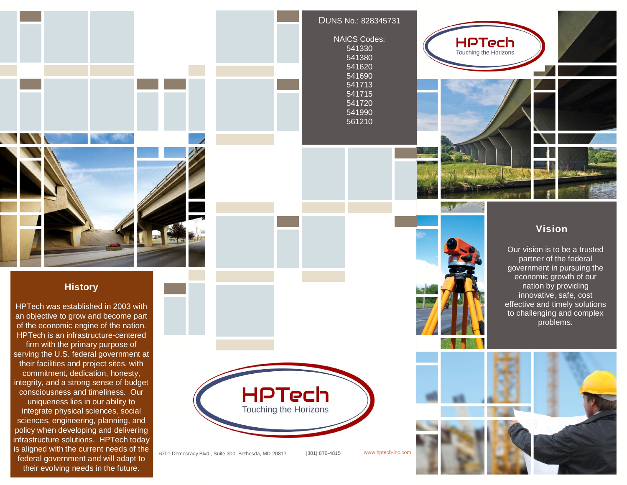

### DUNS No.: 828345731





### **History**

HPTech was established in 2003 with an objective to grow and become part of the economic engine of the nation. HPTech is an infrastructure-centered firm with the primary purpose of serving the U.S. federal government at their facilities and project sites, with commitment, dedication, honesty, integrity, and a strong sense of budget consciousness and timeliness. Our uniqueness lies in our ability to integrate physical sciences, social sciences, engineering, planning, and policy when developing and delivering infrastructure solutions. HPTech today is aligned with the current needs of the federal government and will adapt to their evolving needs in the future.



6701 Democracy Blvd., Suite 300, Bethesda, MD 20817 (301) 876-4815 www.hptech-inc.com

**Vision**

Our vision is to be a trusted partner of the federal government in pursuing the economic growth of our nation by providing innovative, safe, cost effective and timely solutions to challenging and complex problems.